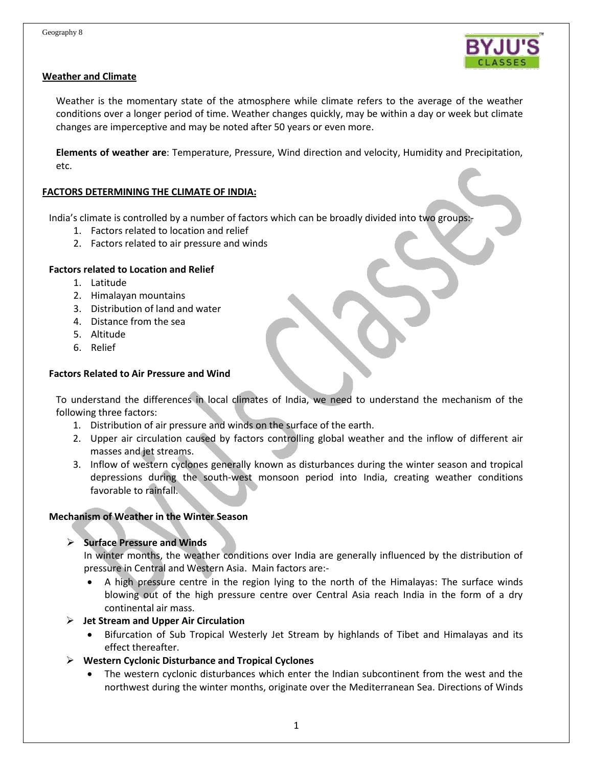

## **Weather and Climate**

Weather is the momentary state of the atmosphere while climate refers to the average of the weather conditions over a longer period of time. Weather changes quickly, may be within a day or week but climate changes are imperceptive and may be noted after 50 years or even more.

**Elements of weather are**: Temperature, Pressure, Wind direction and velocity, Humidity and Precipitation, etc.

# **FACTORS DETERMINING THE CLIMATE OF INDIA:**

India's climate is controlled by a number of factors which can be broadly divided into two groups:-

- 1. Factors related to location and relief
- 2. Factors related to air pressure and winds

## **Factors related to Location and Relief**

- 1. Latitude
- 2. Himalayan mountains
- 3. Distribution of land and water
- 4. Distance from the sea
- 5. Altitude
- 6. Relief

## **Factors Related to Air Pressure and Wind**

To understand the differences in local climates of India, we need to understand the mechanism of the following three factors:

- 1. Distribution of air pressure and winds on the surface of the earth.
- 2. Upper air circulation caused by factors controlling global weather and the inflow of different air masses and jet streams.
- 3. Inflow of western cyclones generally known as disturbances during the winter season and tropical depressions during the south-west monsoon period into India, creating weather conditions favorable to rainfall.

### **Mechanism of Weather in the Winter Season**

# **Surface Pressure and Winds**

In winter months, the weather conditions over India are generally influenced by the distribution of pressure in Central and Western Asia. Main factors are:-

 A high pressure centre in the region lying to the north of the Himalayas: The surface winds blowing out of the high pressure centre over Central Asia reach India in the form of a dry continental air mass.

### **Jet Stream and Upper Air Circulation**

- Bifurcation of Sub Tropical Westerly Jet Stream by highlands of Tibet and Himalayas and its effect thereafter.
- **Western Cyclonic Disturbance and Tropical Cyclones**
	- The western cyclonic disturbances which enter the Indian subcontinent from the west and the northwest during the winter months, originate over the Mediterranean Sea. Directions of Winds